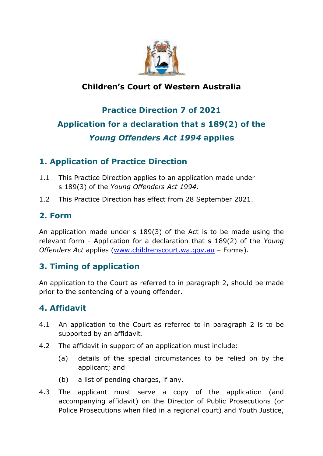

# **Children's Court of Western Australia**

# **Practice Direction 7 of 2021 Application for a declaration that s 189(2) of the**  *Young Offenders Act 1994* **applies**

## **1. Application of Practice Direction**

- 1.1 This Practice Direction applies to an application made under s 189(3) of the *Young Offenders Act 1994*.
- 1.2 This Practice Direction has effect from 28 September 2021.

#### **2. Form**

An application made under s 189(3) of the Act is to be made using the relevant form - Application for a declaration that s 189(2) of the *Young Offenders Act* applies [\(www.childrenscourt.wa.gov.au](http://www.childrenscourt.wa.gov.au/) – Forms).

## **3. Timing of application**

An application to the Court as referred to in paragraph 2, should be made prior to the sentencing of a young offender.

#### **4. Affidavit**

- 4.1 An application to the Court as referred to in paragraph 2 is to be supported by an affidavit.
- 4.2 The affidavit in support of an application must include:
	- (a) details of the special circumstances to be relied on by the applicant; and
	- (b) a list of pending charges, if any.
- 4.3 The applicant must serve a copy of the application (and accompanying affidavit) on the Director of Public Prosecutions (or Police Prosecutions when filed in a regional court) and Youth Justice,